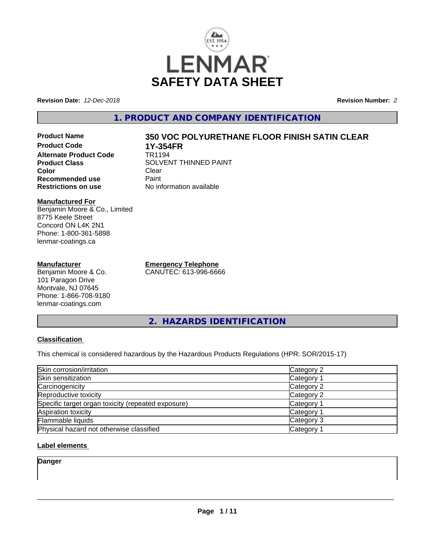

**Revision Date:** *12-Dec-2018* **Revision Number:** *2*

## **1. PRODUCT AND COMPANY IDENTIFICATION**

**Product Name 350 VOC POLYURETHANE FLOOR FINISH SATIN CLEAR Product Code 1Y-354FR Alternate Product Code**<br>Product Class **Color** Clear Clear **Recommended use Faint Paint Paint Restrictions on use Fig. 2016** 

#### **Manufactured For** Benjamin Moore & Co., Limited 8775 Keele Street Concord ON L4K 2N1 Phone: 1-800-361-5898 lenmar-coatings.ca

### **Manufacturer**

Benjamin Moore & Co. 101 Paragon Drive Montvale, NJ 07645 Phone: 1-866-708-9180 lenmar-coatings.com

**Emergency Telephone** CANUTEC: 613-996-6666

**SOLVENT THINNED PAINT**<br>Clear

**No information available** 

**2. HAZARDS IDENTIFICATION**

### **Classification**

This chemical is considered hazardous by the Hazardous Products Regulations (HPR: SOR/2015-17)

| Skin corrosion/irritation                          | Category 2 |
|----------------------------------------------------|------------|
| Skin sensitization                                 | Category 1 |
| Carcinogenicity                                    | Category 2 |
| Reproductive toxicity                              | Category 2 |
| Specific target organ toxicity (repeated exposure) | Category 1 |
| Aspiration toxicity                                | Category 1 |
| Flammable liquids                                  | Category 3 |
| Physical hazard not otherwise classified           | Category 1 |

### **Label elements**

**Danger**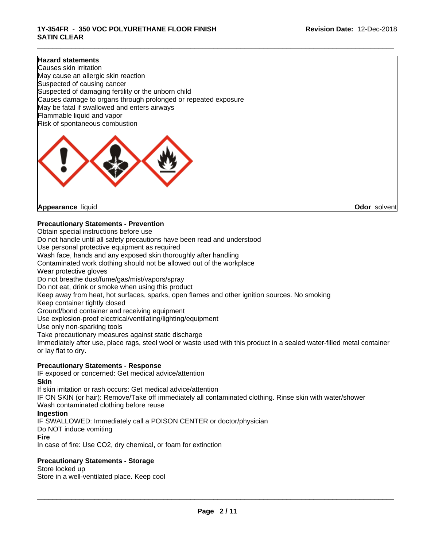\_\_\_\_\_\_\_\_\_\_\_\_\_\_\_\_\_\_\_\_\_\_\_\_\_\_\_\_\_\_\_\_\_\_\_\_\_\_\_\_\_\_\_\_\_\_\_\_\_\_\_\_\_\_\_\_\_\_\_\_\_\_\_\_\_\_\_\_\_\_\_\_\_\_\_\_\_\_\_\_\_\_\_\_\_\_\_\_\_\_\_\_\_

#### **Hazard statements**

Causes skin irritation May cause an allergic skin reaction Suspected of causing cancer Suspected of damaging fertility or the unborn child Causes damage to organs through prolonged or repeated exposure May be fatal if swallowed and enters airways Flammable liquid and vapor Risk of spontaneous combustion



**Appearance** liquid **Odor** solvent

### **Precautionary Statements - Prevention**

Obtain special instructions before use Do not handle until all safety precautions have been read and understood Use personal protective equipment as required Wash face, hands and any exposed skin thoroughly after handling Contaminated work clothing should not be allowed out of the workplace Wear protective gloves Do not breathe dust/fume/gas/mist/vapors/spray Do not eat, drink or smoke when using this product Keep away from heat, hot surfaces, sparks, open flames and other ignition sources. No smoking Keep container tightly closed Ground/bond container and receiving equipment Use explosion-proof electrical/ventilating/lighting/equipment Use only non-sparking tools Take precautionary measures against static discharge Immediately after use, place rags, steel wool or waste used with this product in a sealed water-filled metal container or lay flat to dry. **Precautionary Statements - Response**

# IF exposed or concerned: Get medical advice/attention

**Skin** If skin irritation or rash occurs: Get medical advice/attention IF ON SKIN (or hair): Remove/Take off immediately all contaminated clothing. Rinse skin with water/shower Wash contaminated clothing before reuse **Ingestion** IF SWALLOWED: Immediately call a POISON CENTER or doctor/physician Do NOT induce vomiting **Fire**

In case of fire: Use CO2, dry chemical, or foam for extinction

### **Precautionary Statements - Storage**

Store locked up Store in a well-ventilated place. Keep cool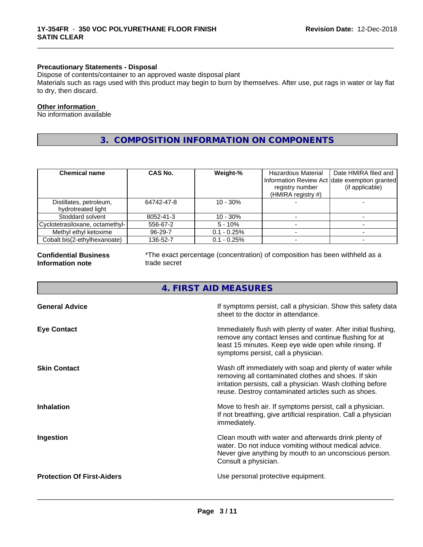### **Precautionary Statements - Disposal**

Dispose of contents/container to an approved waste disposal plant

Materials such as rags used with this product may begin to burn by themselves. After use, put rags in water or lay flat to dry, then discard.

\_\_\_\_\_\_\_\_\_\_\_\_\_\_\_\_\_\_\_\_\_\_\_\_\_\_\_\_\_\_\_\_\_\_\_\_\_\_\_\_\_\_\_\_\_\_\_\_\_\_\_\_\_\_\_\_\_\_\_\_\_\_\_\_\_\_\_\_\_\_\_\_\_\_\_\_\_\_\_\_\_\_\_\_\_\_\_\_\_\_\_\_\_

#### **Other information**

No information available

## **3. COMPOSITION INFORMATION ON COMPONENTS**

| <b>Chemical name</b>                          | <b>CAS No.</b> | Weight-%       | Hazardous Material<br>Information Review Act date exemption granted<br>registry number<br>(HMIRA registry #) | Date HMIRA filed and<br>(if applicable) |
|-----------------------------------------------|----------------|----------------|--------------------------------------------------------------------------------------------------------------|-----------------------------------------|
| Distillates, petroleum,<br>hydrotreated light | 64742-47-8     | $10 - 30%$     |                                                                                                              |                                         |
| Stoddard solvent                              | 8052-41-3      | $10 - 30%$     |                                                                                                              |                                         |
| Cyclotetrasiloxane, octamethyl-               | 556-67-2       | $5 - 10\%$     |                                                                                                              |                                         |
| Methyl ethyl ketoxime                         | 96-29-7        | $0.1 - 0.25\%$ |                                                                                                              |                                         |
| Cobalt bis(2-ethylhexanoate)                  | 136-52-7       | $0.1 - 0.25\%$ |                                                                                                              |                                         |

#### **Confidential Business Information note**

\*The exact percentage (concentration) of composition has been withheld as a trade secret

## **4. FIRST AID MEASURES**

| <b>General Advice</b>             | If symptoms persist, call a physician. Show this safety data<br>sheet to the doctor in attendance.                                                                                                                                     |
|-----------------------------------|----------------------------------------------------------------------------------------------------------------------------------------------------------------------------------------------------------------------------------------|
| <b>Eye Contact</b>                | Immediately flush with plenty of water. After initial flushing,<br>remove any contact lenses and continue flushing for at<br>least 15 minutes. Keep eye wide open while rinsing. If<br>symptoms persist, call a physician.             |
| <b>Skin Contact</b>               | Wash off immediately with soap and plenty of water while<br>removing all contaminated clothes and shoes. If skin<br>irritation persists, call a physician. Wash clothing before<br>reuse. Destroy contaminated articles such as shoes. |
| <b>Inhalation</b>                 | Move to fresh air. If symptoms persist, call a physician.<br>If not breathing, give artificial respiration. Call a physician<br>immediately.                                                                                           |
| Ingestion                         | Clean mouth with water and afterwards drink plenty of<br>water. Do not induce vomiting without medical advice.<br>Never give anything by mouth to an unconscious person.<br>Consult a physician.                                       |
| <b>Protection Of First-Aiders</b> | Use personal protective equipment.                                                                                                                                                                                                     |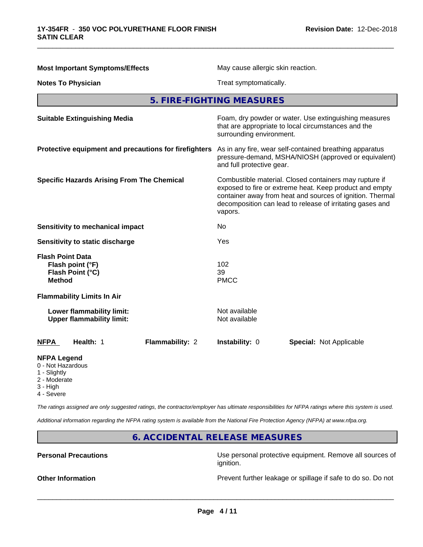| <b>Most Important Symptoms/Effects</b>                                           | May cause allergic skin reaction.                                                                                                                                                                                                                      |  |
|----------------------------------------------------------------------------------|--------------------------------------------------------------------------------------------------------------------------------------------------------------------------------------------------------------------------------------------------------|--|
| <b>Notes To Physician</b>                                                        | Treat symptomatically.                                                                                                                                                                                                                                 |  |
|                                                                                  | 5. FIRE-FIGHTING MEASURES                                                                                                                                                                                                                              |  |
| <b>Suitable Extinguishing Media</b>                                              | Foam, dry powder or water. Use extinguishing measures<br>that are appropriate to local circumstances and the<br>surrounding environment.                                                                                                               |  |
| Protective equipment and precautions for firefighters                            | As in any fire, wear self-contained breathing apparatus<br>pressure-demand, MSHA/NIOSH (approved or equivalent)<br>and full protective gear.                                                                                                           |  |
| <b>Specific Hazards Arising From The Chemical</b>                                | Combustible material. Closed containers may rupture if<br>exposed to fire or extreme heat. Keep product and empty<br>container away from heat and sources of ignition. Thermal<br>decomposition can lead to release of irritating gases and<br>vapors. |  |
| Sensitivity to mechanical impact                                                 | No                                                                                                                                                                                                                                                     |  |
| Sensitivity to static discharge                                                  | Yes                                                                                                                                                                                                                                                    |  |
| <b>Flash Point Data</b><br>Flash point (°F)<br>Flash Point (°C)<br><b>Method</b> | 102<br>39<br><b>PMCC</b>                                                                                                                                                                                                                               |  |
| <b>Flammability Limits In Air</b>                                                |                                                                                                                                                                                                                                                        |  |
| Lower flammability limit:<br><b>Upper flammability limit:</b>                    | Not available<br>Not available                                                                                                                                                                                                                         |  |
| <b>NFPA</b><br>Health: 1<br>Flammability: 2                                      | Instability: 0<br><b>Special: Not Applicable</b>                                                                                                                                                                                                       |  |
| <b>NFPA Legend</b><br>0 - Not Hazardous<br>1 - Slightly<br>2 - Moderate          |                                                                                                                                                                                                                                                        |  |

\_\_\_\_\_\_\_\_\_\_\_\_\_\_\_\_\_\_\_\_\_\_\_\_\_\_\_\_\_\_\_\_\_\_\_\_\_\_\_\_\_\_\_\_\_\_\_\_\_\_\_\_\_\_\_\_\_\_\_\_\_\_\_\_\_\_\_\_\_\_\_\_\_\_\_\_\_\_\_\_\_\_\_\_\_\_\_\_\_\_\_\_\_

- 3 High
- 4 Severe

*The ratings assigned are only suggested ratings, the contractor/employer has ultimate responsibilities for NFPA ratings where this system is used.*

*Additional information regarding the NFPA rating system is available from the National Fire Protection Agency (NFPA) at www.nfpa.org.*

## **6. ACCIDENTAL RELEASE MEASURES**

**Personal Precautions Precautions** Use personal protective equipment. Remove all sources of ignition.

**Other Information Discription** Prevent further leakage or spillage if safe to do so. Do not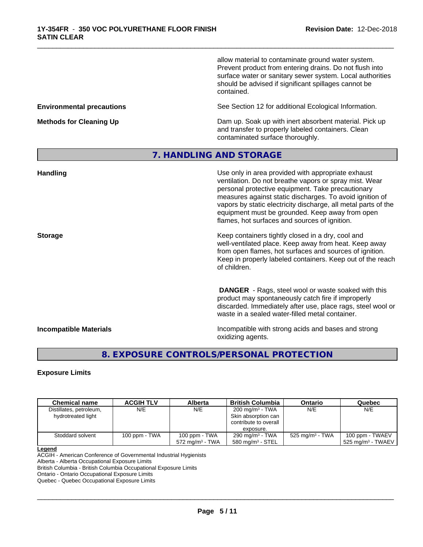allow material to contaminate ground water system. Prevent product from entering drains. Do not flush into surface water or sanitary sewer system. Local authorities should be advised if significant spillages cannot be contained.

**Environmental precautions** See Section 12 for additional Ecological Information.

**Methods for Cleaning Up** Dam up. Soak up with inert absorbent material. Pick up and transfer to properly labeled containers. Clean contaminated surface thoroughly.

## **7. HANDLING AND STORAGE**

\_\_\_\_\_\_\_\_\_\_\_\_\_\_\_\_\_\_\_\_\_\_\_\_\_\_\_\_\_\_\_\_\_\_\_\_\_\_\_\_\_\_\_\_\_\_\_\_\_\_\_\_\_\_\_\_\_\_\_\_\_\_\_\_\_\_\_\_\_\_\_\_\_\_\_\_\_\_\_\_\_\_\_\_\_\_\_\_\_\_\_\_\_

| <b>Handling</b>               | Use only in area provided with appropriate exhaust<br>ventilation. Do not breathe vapors or spray mist. Wear<br>personal protective equipment. Take precautionary<br>measures against static discharges. To avoid ignition of<br>vapors by static electricity discharge, all metal parts of the<br>equipment must be grounded. Keep away from open<br>flames, hot surfaces and sources of ignition. |
|-------------------------------|-----------------------------------------------------------------------------------------------------------------------------------------------------------------------------------------------------------------------------------------------------------------------------------------------------------------------------------------------------------------------------------------------------|
| <b>Storage</b>                | Keep containers tightly closed in a dry, cool and<br>well-ventilated place. Keep away from heat. Keep away<br>from open flames, hot surfaces and sources of ignition.<br>Keep in properly labeled containers. Keep out of the reach<br>of children.                                                                                                                                                 |
|                               | <b>DANGER</b> - Rags, steel wool or waste soaked with this<br>product may spontaneously catch fire if improperly<br>discarded. Immediately after use, place rags, steel wool or<br>waste in a sealed water-filled metal container.                                                                                                                                                                  |
| <b>Incompatible Materials</b> | Incompatible with strong acids and bases and strong<br>oxidizing agents.                                                                                                                                                                                                                                                                                                                            |

## **8. EXPOSURE CONTROLS/PERSONAL PROTECTION**

### **Exposure Limits**

| <b>Chemical name</b>                          | <b>ACGIH TLV</b> | Alberta                                     | <b>British Columbia</b>                                                                  | Ontario                     | Quebec                                             |
|-----------------------------------------------|------------------|---------------------------------------------|------------------------------------------------------------------------------------------|-----------------------------|----------------------------------------------------|
| Distillates, petroleum,<br>hydrotreated light | N/E              | N/E                                         | 200 mg/m <sup>3</sup> - TWA<br>Skin absorption can<br>contribute to overall<br>exposure. | N/E                         | N/E                                                |
| Stoddard solvent                              | 100 ppm - TWA    | 100 ppm - TWA<br>$572 \text{ ma/m}^3$ - TWA | $290 \text{ mg/m}^3$ - TWA<br>$580 \text{ mg/m}^3$ - STEL                                | 525 mg/m <sup>3</sup> - TWA | 100 ppm - TWAEV<br>$\,$ 525 ma/m $^3$ - TWAEV $\,$ |

#### **Legend**

ACGIH - American Conference of Governmental Industrial Hygienists

Alberta - Alberta Occupational Exposure Limits

British Columbia - British Columbia Occupational Exposure Limits

Ontario - Ontario Occupational Exposure Limits

Quebec - Quebec Occupational Exposure Limits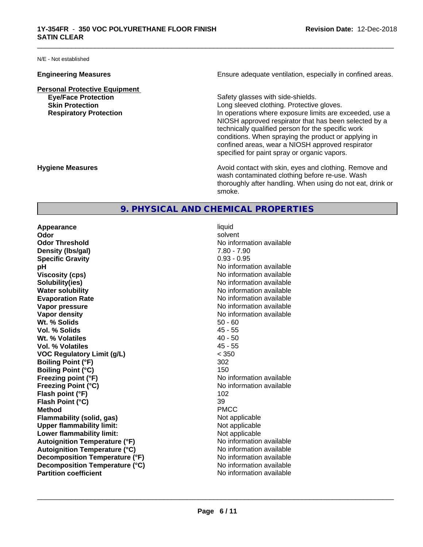N/E - Not established

**Personal Protective Equipment**

**Engineering Measures Ensure** Ensure adequate ventilation, especially in confined areas.

\_\_\_\_\_\_\_\_\_\_\_\_\_\_\_\_\_\_\_\_\_\_\_\_\_\_\_\_\_\_\_\_\_\_\_\_\_\_\_\_\_\_\_\_\_\_\_\_\_\_\_\_\_\_\_\_\_\_\_\_\_\_\_\_\_\_\_\_\_\_\_\_\_\_\_\_\_\_\_\_\_\_\_\_\_\_\_\_\_\_\_\_\_

**Eye/Face Protection Safety glasses with side-shields. Skin Protection Skin Protection Skin Protective gloves.** Long sleeved clothing. Protective gloves. **Respiratory Protection In operations where exposure limits are exceeded, use a** NIOSH approved respirator that has been selected by a technically qualified person for the specific work conditions. When spraying the product or applying in confined areas, wear a NIOSH approved respirator specified for paint spray or organic vapors.

**Hygiene Measures Avoid contact with skin, eyes and clothing. Remove and Avoid contact with skin, eyes and clothing. Remove and Avoid contact with skin, eyes and clothing. Remove and** wash contaminated clothing before re-use. Wash thoroughly after handling. When using do not eat, drink or smoke.

## **9. PHYSICAL AND CHEMICAL PROPERTIES**

**Appearance** liquid **Odor** solvent **Odor Threshold**<br> **Density (Ibs/gal)**<br> **Density (Ibs/gal)**<br> **No information available**<br>  $7.80 - 7.90$ **Density (lbs/gal) Specific Gravity** 0.93 - 0.95 **pH** No information available **Viscosity (cps)** No information available **Solubility(ies)** No information available in the solution of the solution of the solution available in the solution of the solution of the solution of the solution of the solution of the solution of the solution of the so **Water solubility** No information available **Evaporation Rate No information available No information available Vapor pressure** No information available **No information available Vapor density Vapor density No information available Wt. % Solids** 50 - 60 **Vol. % Solids** 45 - 55 **Wt. % Volatiles** 40 - 50 **Vol. % Volatiles VOC Regulatory Limit (g/L)** < 350 **Boiling Point (°F)** 302 **Boiling Point (°C)** 150 **Freezing point (°F)** No information available **Freezing Point (°C)** No information available **Flash point (°F)** 102 **Flash Point (°C)** 39 **Method** PMCC **Flammability (solid, gas)**<br> **Commability limit:**<br>
Upper flammability limit:<br>
Not applicable **Upper flammability limit:**<br> **Lower flammability limit:**<br>
Not applicable<br>
Not applicable **Lower flammability limit:**<br> **Autoignition Temperature (°F)** Not applicable available and the Muslim Muslim Comments and Muslim Automation and the Muslim Comments and Muslim Comments and Muslim Comments and Muslim Comments **Autoignition Temperature (°F) Autoignition Temperature (°C)** No information available **Decomposition Temperature (°F)** No information available **Decomposition Temperature (°C)** No information available<br> **Partition coefficient Partition available** 

**No information available**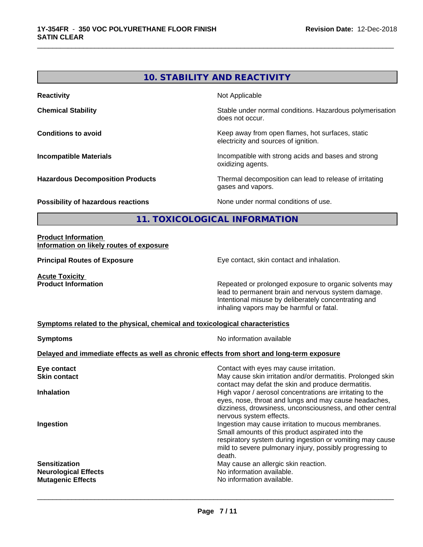# **10. STABILITY AND REACTIVITY Reactivity Not Applicable Not Applicable Chemical Stability Chemical Stability** Stable under normal conditions. Hazardous polymerisation does not occur. **Conditions to avoid Conditions to avoid Conditions keep** away from open flames, hot surfaces, static electricity and sources of ignition. **Incompatible Materials Incompatible Materials Incompatible with strong acids and bases and strong** oxidizing agents. **Hazardous Decomposition Products** Thermal decomposition can lead to release of irritating gases and vapors.

\_\_\_\_\_\_\_\_\_\_\_\_\_\_\_\_\_\_\_\_\_\_\_\_\_\_\_\_\_\_\_\_\_\_\_\_\_\_\_\_\_\_\_\_\_\_\_\_\_\_\_\_\_\_\_\_\_\_\_\_\_\_\_\_\_\_\_\_\_\_\_\_\_\_\_\_\_\_\_\_\_\_\_\_\_\_\_\_\_\_\_\_\_

**Possibility of hazardous reactions** None under normal conditions of use.

## **11. TOXICOLOGICAL INFORMATION**

#### **Product Information Information on likely routes of exposure**

**Principal Routes of Exposure Exposure** Eye contact, skin contact and inhalation.

**Acute Toxicity<br>Product Information** 

Repeated or prolonged exposure to organic solvents may lead to permanent brain and nervous system damage. Intentional misuse by deliberately concentrating and inhaling vapors may be harmful or fatal.

#### **Symptoms related to the physical,chemical and toxicological characteristics**

| <b>Symptoms</b>                                                                            | No information available                                                                                                                                                                                                                   |
|--------------------------------------------------------------------------------------------|--------------------------------------------------------------------------------------------------------------------------------------------------------------------------------------------------------------------------------------------|
| Delayed and immediate effects as well as chronic effects from short and long-term exposure |                                                                                                                                                                                                                                            |
| Eye contact                                                                                | Contact with eyes may cause irritation.                                                                                                                                                                                                    |
| <b>Skin contact</b>                                                                        | May cause skin irritation and/or dermatitis. Prolonged skin<br>contact may defat the skin and produce dermatitis.                                                                                                                          |
| <b>Inhalation</b>                                                                          | High vapor / aerosol concentrations are irritating to the<br>eyes, nose, throat and lungs and may cause headaches,<br>dizziness, drowsiness, unconsciousness, and other central<br>nervous system effects.                                 |
| Ingestion                                                                                  | Ingestion may cause irritation to mucous membranes.<br>Small amounts of this product aspirated into the<br>respiratory system during ingestion or vomiting may cause<br>mild to severe pulmonary injury, possibly progressing to<br>death. |
| <b>Sensitization</b><br><b>Neurological Effects</b><br><b>Mutagenic Effects</b>            | May cause an allergic skin reaction.<br>No information available.<br>No information available.                                                                                                                                             |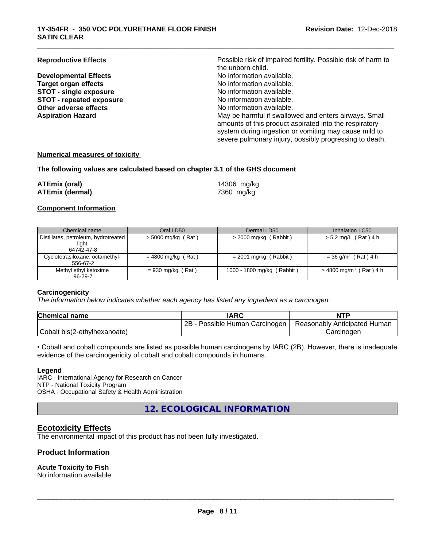**Developmental Effects No information available.**<br> **Target organ effects No information available. Target organ effects No information available.**<br> **STOT - single exposure No information available. STOT** - single exposure<br> **STOT** - repeated exposure<br> **STOT** - repeated exposure<br> **STOT** - repeated exposure **STOT** - repeated exposure **Other adverse effects** No information available.

**Reproductive Effects Possible risk of impaired fertility. Possible risk of harm to** the unborn child.<br>No information available. **Aspiration Hazard** May be harmful if swallowed and enters airways. Small amounts of this product aspirated into the respiratory system during ingestion or vomiting may cause mild to severe pulmonary injury, possibly progressing to death.

\_\_\_\_\_\_\_\_\_\_\_\_\_\_\_\_\_\_\_\_\_\_\_\_\_\_\_\_\_\_\_\_\_\_\_\_\_\_\_\_\_\_\_\_\_\_\_\_\_\_\_\_\_\_\_\_\_\_\_\_\_\_\_\_\_\_\_\_\_\_\_\_\_\_\_\_\_\_\_\_\_\_\_\_\_\_\_\_\_\_\_\_\_

#### **Numerical measures of toxicity**

#### **The following values are calculated based on chapter 3.1 of the GHS document**

| ATEmix (oral)          | 14306 mg/kg |
|------------------------|-------------|
| <b>ATEmix (dermal)</b> | 7360 mg/kg  |

#### **Component Information**

| Chemical name                                                 | Oral LD50            | Dermal LD50                | Inhalation LC50                      |
|---------------------------------------------------------------|----------------------|----------------------------|--------------------------------------|
| Distillates, petroleum, hydrotreated  <br>light<br>64742-47-8 | $>$ 5000 mg/kg (Rat) | $>$ 2000 mg/kg (Rabbit)    | > 5.2 mg/L (Rat) 4 h                 |
| Cyclotetrasiloxane, octamethyl-<br>556-67-2                   | $= 4800$ mg/kg (Rat) | $= 2001$ mg/kg (Rabbit)    | $= 36$ g/m <sup>3</sup> (Rat) 4 h    |
| Methyl ethyl ketoxime<br>$96 - 29 - 7$                        | $= 930$ mg/kg (Rat)  | 1000 - 1800 mg/kg (Rabbit) | $>$ 4800 mg/m <sup>3</sup> (Rat) 4 h |

#### **Carcinogenicity**

*The information below indicateswhether each agency has listed any ingredient as a carcinogen:.*

| <b>Chemical name</b>         | <b>IARC</b>                     | <b>NTP</b>                   |
|------------------------------|---------------------------------|------------------------------|
|                              | 2B<br>Possible Human Carcinogen | Reasonably Anticipated Human |
| Cobalt bis(2-ethylhexanoate) |                                 | Carcinogen                   |

• Cobalt and cobalt compounds are listed as possible human carcinogens by IARC (2B). However, there is inadequate evidence of the carcinogenicity of cobalt and cobalt compounds in humans.

#### **Legend**

IARC - International Agency for Research on Cancer NTP - National Toxicity Program OSHA - Occupational Safety & Health Administration

**12. ECOLOGICAL INFORMATION**

### **Ecotoxicity Effects**

The environmental impact of this product has not been fully investigated.

### **Product Information**

#### **Acute Toxicity to Fish**

No information available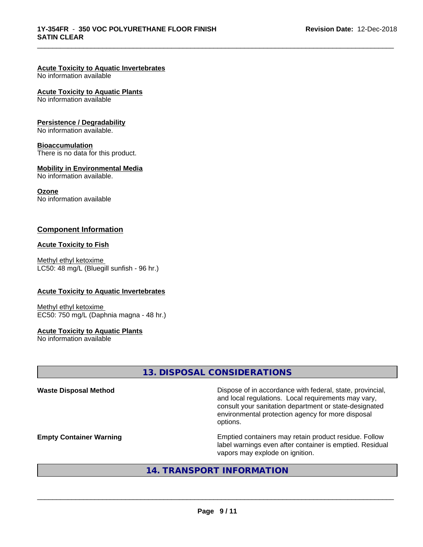## **Acute Toxicity to Aquatic Invertebrates**

No information available

#### **Acute Toxicity to Aquatic Plants**

No information available

#### **Persistence / Degradability**

No information available.

#### **Bioaccumulation**

There is no data for this product.

#### **Mobility in Environmental Media**

No information available.

#### **Ozone**

No information available

### **Component Information**

#### **Acute Toxicity to Fish**

Methyl ethyl ketoxime LC50: 48 mg/L (Bluegill sunfish - 96 hr.)

#### **Acute Toxicity to Aquatic Invertebrates**

Methyl ethyl ketoxime EC50: 750 mg/L (Daphnia magna - 48 hr.)

#### **Acute Toxicity to Aquatic Plants**

No information available

## **13. DISPOSAL CONSIDERATIONS**

\_\_\_\_\_\_\_\_\_\_\_\_\_\_\_\_\_\_\_\_\_\_\_\_\_\_\_\_\_\_\_\_\_\_\_\_\_\_\_\_\_\_\_\_\_\_\_\_\_\_\_\_\_\_\_\_\_\_\_\_\_\_\_\_\_\_\_\_\_\_\_\_\_\_\_\_\_\_\_\_\_\_\_\_\_\_\_\_\_\_\_\_\_

| <b>Waste Disposal Method</b>   | Dispose of in accordance with federal, state, provincial,<br>and local regulations. Local requirements may vary,<br>consult your sanitation department or state-designated<br>environmental protection agency for more disposal<br>options. |
|--------------------------------|---------------------------------------------------------------------------------------------------------------------------------------------------------------------------------------------------------------------------------------------|
| <b>Empty Container Warning</b> | Emptied containers may retain product residue. Follow<br>label warnings even after container is emptied. Residual<br>vapors may explode on ignition.                                                                                        |

## **14. TRANSPORT INFORMATION**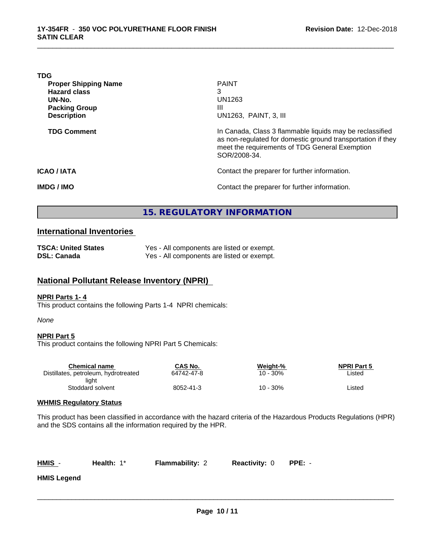| <b>TDG</b>                  |                                                                                                                                                                                           |
|-----------------------------|-------------------------------------------------------------------------------------------------------------------------------------------------------------------------------------------|
| <b>Proper Shipping Name</b> | <b>PAINT</b>                                                                                                                                                                              |
| <b>Hazard class</b>         | 3                                                                                                                                                                                         |
| UN-No.                      | UN1263                                                                                                                                                                                    |
| <b>Packing Group</b>        | Ш                                                                                                                                                                                         |
| <b>Description</b>          | UN1263, PAINT, 3, III                                                                                                                                                                     |
| <b>TDG Comment</b>          | In Canada, Class 3 flammable liquids may be reclassified<br>as non-regulated for domestic ground transportation if they<br>meet the requirements of TDG General Exemption<br>SOR/2008-34. |
| <b>ICAO / IATA</b>          | Contact the preparer for further information.                                                                                                                                             |
| <b>IMDG/IMO</b>             | Contact the preparer for further information.                                                                                                                                             |

\_\_\_\_\_\_\_\_\_\_\_\_\_\_\_\_\_\_\_\_\_\_\_\_\_\_\_\_\_\_\_\_\_\_\_\_\_\_\_\_\_\_\_\_\_\_\_\_\_\_\_\_\_\_\_\_\_\_\_\_\_\_\_\_\_\_\_\_\_\_\_\_\_\_\_\_\_\_\_\_\_\_\_\_\_\_\_\_\_\_\_\_\_

## **15. REGULATORY INFORMATION**

### **International Inventories**

| <b>TSCA: United States</b> | Yes - All components are listed or exempt. |
|----------------------------|--------------------------------------------|
| DSL: Canada                | Yes - All components are listed or exempt. |

## **National Pollutant Release Inventory (NPRI)**

#### **NPRI Parts 1- 4**

This product contains the following Parts 1-4 NPRI chemicals:

#### *None*

#### **NPRI Part 5**

This product contains the following NPRI Part 5 Chemicals:

| Chemical name                        | CAS No.    | Weight-% | <b>NPRI Part 5</b> |  |
|--------------------------------------|------------|----------|--------------------|--|
| Distillates, petroleum, hydrotreated | 64742-47-8 | 10 - 30% | ∟isted             |  |
| liaht                                |            |          |                    |  |
| Stoddard solvent                     | 8052-41-3  | 10 - 30% | ∟isted             |  |
|                                      |            |          |                    |  |

#### **WHMIS Regulatory Status**

This product has been classified in accordance with the hazard criteria of the Hazardous Products Regulations (HPR) and the SDS contains all the information required by the HPR.

**Health:** 1\* **Flammability: 2 Reactivity: 0 PPE:** -

 $\overline{\phantom{a}}$  ,  $\overline{\phantom{a}}$  ,  $\overline{\phantom{a}}$  ,  $\overline{\phantom{a}}$  ,  $\overline{\phantom{a}}$  ,  $\overline{\phantom{a}}$  ,  $\overline{\phantom{a}}$  ,  $\overline{\phantom{a}}$  ,  $\overline{\phantom{a}}$  ,  $\overline{\phantom{a}}$  ,  $\overline{\phantom{a}}$  ,  $\overline{\phantom{a}}$  ,  $\overline{\phantom{a}}$  ,  $\overline{\phantom{a}}$  ,  $\overline{\phantom{a}}$  ,  $\overline{\phantom{a}}$ 

**HMIS Legend**